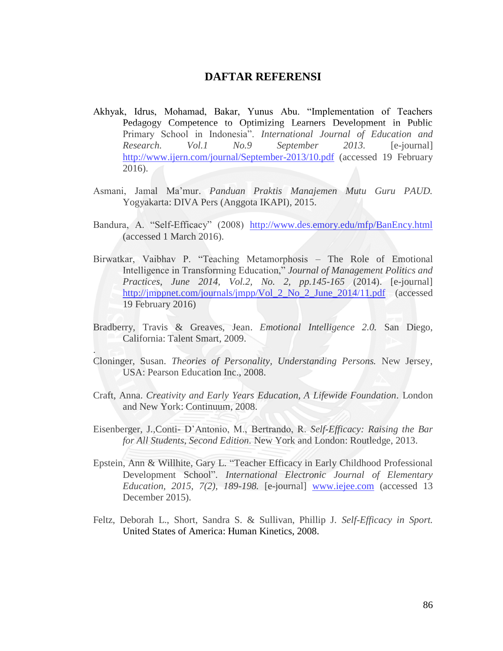## **DAFTAR REFERENSI**

- Akhyak, Idrus, Mohamad, Bakar, Yunus Abu. "Implementation of Teachers Pedagogy Competence to Optimizing Learners Development in Public Primary School in Indonesia". *International Journal of Education and Research. Vol.1 No.9 September 2013.* [e-journal] <http://www.ijern.com/journal/September-2013/10.pdf> (accessed 19 February 2016).
- Asmani, Jamal Ma"mur. *Panduan Praktis Manajemen Mutu Guru PAUD.* Yogyakarta: DIVA Pers (Anggota IKAPI), 2015.
- Bandura, A. "Self-Efficacy" (2008) <http://www.des.emory.edu/mfp/BanEncy.html> (accessed 1 March 2016).
- Birwatkar, Vaibhav P. "Teaching Metamorphosis The Role of Emotional Intelligence in Transforming Education," *Journal of Management Politics and Practices, June 2014, Vol.2, No. 2, pp.145-165* (2014). [e-journal] [http://jmppnet.com/journals/jmpp/Vol\\_2\\_No\\_2\\_June\\_2014/11.pdf](http://jmppnet.com/journals/jmpp/Vol_2_No_2_June_2014/11.pdf) (accessed 19 February 2016)
- Bradberry, Travis & Greaves, Jean. *Emotional Intelligence 2.0.* San Diego, California: Talent Smart, 2009.

.

- Cloninger, Susan. *Theories of Personality, Understanding Persons.* New Jersey, USA: Pearson Education Inc., 2008.
- Craft, Anna. *Creativity and Early Years Education, A Lifewide Foundation.* London and New York: Continuum, 2008.
- Eisenberger, J.,Conti- D"Antonio, M., Bertrando, R. *Self-Efficacy: Raising the Bar for All Students, Second Edition.* New York and London: Routledge, 2013.
- Epstein, Ann & Willhite, Gary L. "Teacher Efficacy in Early Childhood Professional Development School". *International Electronic Journal of Elementary Education, 2015, 7(2), 189-198.* [e-journal] [www.iejee.com](http://www.iejee.com/) (accessed 13 December 2015).
- Feltz, Deborah L., Short, Sandra S. & Sullivan, Phillip J. *Self-Efficacy in Sport.*  United States of America: Human Kinetics, 2008.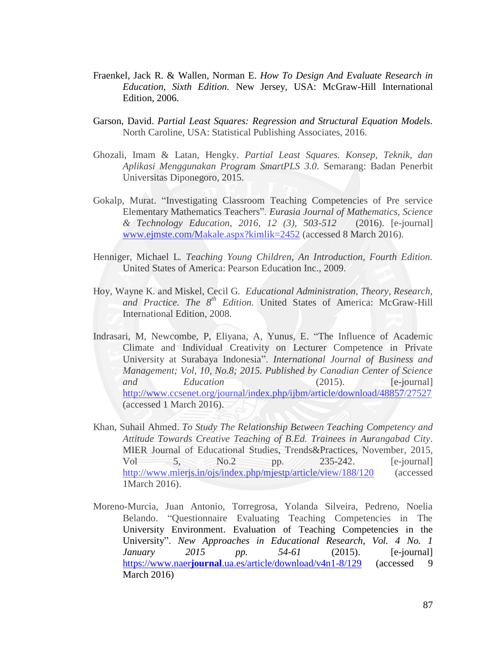- Fraenkel, Jack R. & Wallen, Norman E. *How To Design And Evaluate Research in Education, Sixth Edition.* New Jersey, USA: McGraw-Hill International Edition, 2006.
- Garson, David. *Partial Least Squares: Regression and Structural Equation Models.* North Caroline, USA: Statistical Publishing Associates, 2016.
- Ghozali, Imam & Latan, Hengky. *Partial Least Squares. Konsep, Teknik, dan Aplikasi Menggunakan Program SmartPLS 3.0.* Semarang: Badan Penerbit Universitas Diponegoro, 2015.
- Gokalp, Murat. "Investigating Classroom Teaching Competencies of Pre service Elementary Mathematics Teachers". *Eurasia Journal of Mathematics, Science & Technology Education, 2016, 12 (3), 503-512* (2016). [e-journal] [www.ejmste.com/Makale.aspx?kimlik=2452](http://www.ejmste.com/Makale.aspx?kimlik=2452) (accessed 8 March 2016).
- Henniger, Michael L. *Teaching Young Children, An Introduction, Fourth Edition.* United States of America: Pearson Education Inc., 2009.
- Hoy, Wayne K. and Miskel, Cecil G. *Educational Administration, Theory, Research,*  and Practice. The 8<sup>th</sup> Edition. United States of America: McGraw-Hill International Edition, 2008.
- Indrasari, M, Newcombe, P, Eliyana, A, Yunus, E. "The Influence of Academic Climate and Individual Creativity on Lecturer Competence in Private University at Surabaya Indonesia". *International Journal of Business and Management; Vol, 10, No.8; 2015. Published by Canadian Center of Science and Education* (2015). [e-journal] <http://www.ccsenet.org/journal/index.php/ijbm/article/download/48857/27527> (accessed 1 March 2016).
- Khan, Suhail Ahmed. *To Study The Relationship Between Teaching Competency and Attitude Towards Creative Teaching of B.Ed. Trainees in Aurangabad City.* MIER Journal of Educational Studies, Trends&Practices, November, 2015, Vol 5, No.2 pp. 235-242. [e-journal] <http://www.mierjs.in/ojs/index.php/mjestp/article/view/188/120> (accessed 1March 2016).
- Moreno-Murcia, Juan Antonio, Torregrosa, Yolanda Silveira, Pedreno, Noelia Belando. "Questionnaire Evaluating Teaching Competencies in The University Environment. Evaluation of Teaching Competencies in the University". *New Approaches in Educational Research, Vol. 4 No. 1 January 2015 pp. 54-61* (2015). [e-journal] https://www.naer**journal**[.ua.es/article/download/v4n1-8/129](https://www.naerjournal.ua.es/article/download/v4n1-8/129) (accessed 9 March 2016)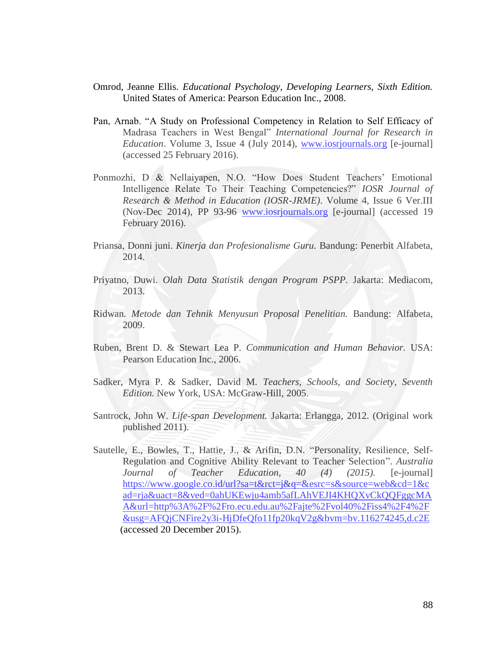- Omrod, Jeanne Ellis. *Educational Psychology, Developing Learners, Sixth Edition.* United States of America: Pearson Education Inc., 2008.
- Pan, Arnab. "A Study on Professional Competency in Relation to Self Efficacy of Madrasa Teachers in West Bengal" *International Journal for Research in Education*. Volume 3, Issue 4 (July 2014), [www.iosrjournals.org](http://www.iosrjournals.org/) [e-journal] (accessed 25 February 2016).
- Ponmozhi, D & Nellaiyapen, N.O. "How Does Student Teachers' Emotional Intelligence Relate To Their Teaching Competencies?" *IOSR Journal of Research & Method in Education (IOSR-JRME)*. Volume 4, Issue 6 Ver.III (Nov-Dec 2014), PP 93-96 [www.iosrjournals.org](http://www.iosrjournals.org/) [e-journal] (accessed 19 February 2016).
- Priansa, Donni juni. *Kinerja dan Profesionalisme Guru.* Bandung: Penerbit Alfabeta, 2014.
- Priyatno, Duwi. *Olah Data Statistik dengan Program PSPP.* Jakarta: Mediacom, 2013.
- Ridwan. *Metode dan Tehnik Menyusun Proposal Penelitian.* Bandung: Alfabeta, 2009.
- Ruben, Brent D. & Stewart Lea P. *Communication and Human Behavior.* USA: Pearson Education Inc., 2006.
- Sadker, Myra P. & Sadker, David M. *Teachers, Schools, and Society, Seventh Edition.* New York, USA: McGraw-Hill, 2005.
- Santrock, John W. *Life-span Development.* Jakarta: Erlangga, 2012. (Original work published 2011).
- Sautelle, E., Bowles, T., Hattie, J., & Arifin, D.N. "Personality, Resilience, Self-Regulation and Cognitive Ability Relevant to Teacher Selection". *Australia Journal of Teacher Education, 40 (4) (2015).* [e-journal] [https://www.google.co.id/url?sa=t&rct=j&q=&esrc=s&source=web&cd=1&c](https://www.google.co.id/url?sa=t&rct=j&q=&esrc=s&source=web&cd=1&cad=rja&uact=8&ved=0ahUKEwju4amb5afLAhVEJI4KHQXvCkQQFggcMAA&url=http%3A%2F%2Fro.ecu.edu.au%2Fajte%2Fvol40%2Fiss4%2F4%2F&usg=AFQjCNFire2y3i-HjDfeQfo11fp20kqV2g&bvm=bv.116274245,d.c2E) [ad=rja&uact=8&ved=0ahUKEwju4amb5afLAhVEJI4KHQXvCkQQFggcMA](https://www.google.co.id/url?sa=t&rct=j&q=&esrc=s&source=web&cd=1&cad=rja&uact=8&ved=0ahUKEwju4amb5afLAhVEJI4KHQXvCkQQFggcMAA&url=http%3A%2F%2Fro.ecu.edu.au%2Fajte%2Fvol40%2Fiss4%2F4%2F&usg=AFQjCNFire2y3i-HjDfeQfo11fp20kqV2g&bvm=bv.116274245,d.c2E) [A&url=http%3A%2F%2Fro.ecu.edu.au%2Fajte%2Fvol40%2Fiss4%2F4%2F](https://www.google.co.id/url?sa=t&rct=j&q=&esrc=s&source=web&cd=1&cad=rja&uact=8&ved=0ahUKEwju4amb5afLAhVEJI4KHQXvCkQQFggcMAA&url=http%3A%2F%2Fro.ecu.edu.au%2Fajte%2Fvol40%2Fiss4%2F4%2F&usg=AFQjCNFire2y3i-HjDfeQfo11fp20kqV2g&bvm=bv.116274245,d.c2E) [&usg=AFQjCNFire2y3i-HjDfeQfo11fp20kqV2g&bvm=bv.116274245,d.c2E](https://www.google.co.id/url?sa=t&rct=j&q=&esrc=s&source=web&cd=1&cad=rja&uact=8&ved=0ahUKEwju4amb5afLAhVEJI4KHQXvCkQQFggcMAA&url=http%3A%2F%2Fro.ecu.edu.au%2Fajte%2Fvol40%2Fiss4%2F4%2F&usg=AFQjCNFire2y3i-HjDfeQfo11fp20kqV2g&bvm=bv.116274245,d.c2E) (accessed 20 December 2015).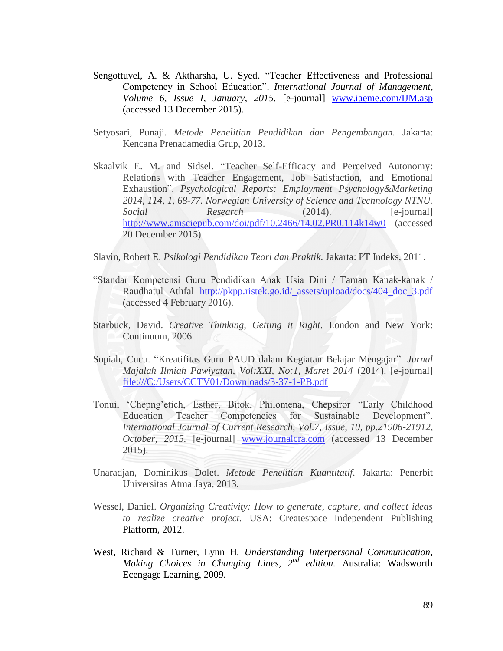- Sengottuvel, A. & Aktharsha, U. Syed. "Teacher Effectiveness and Professional Competency in School Education". *International Journal of Management, Volume 6, Issue I, January, 2015.* [e-journal] [www.iaeme.com/IJM.asp](http://www.iaeme.com/IJM.asp)  (accessed 13 December 2015).
- Setyosari, Punaji. *Metode Penelitian Pendidikan dan Pengembangan.* Jakarta: Kencana Prenadamedia Grup, 2013.
- Skaalvik E. M. and Sidsel. "Teacher Self-Efficacy and Perceived Autonomy: Relations with Teacher Engagement, Job Satisfaction, and Emotional Exhaustion". *Psychological Reports: Employment Psychology&Marketing 2014, 114, 1, 68-77. Norwegian University of Science and Technology NTNU. Social Research* (2014). [e-journal] <http://www.amsciepub.com/doi/pdf/10.2466/14.02.PR0.114k14w0> (accessed 20 December 2015)

Slavin, Robert E. *Psikologi Pendidikan Teori dan Praktik.* Jakarta: PT Indeks, 2011.

- "Standar Kompetensi Guru Pendidikan Anak Usia Dini / Taman Kanak-kanak / Raudhatul Athfal [http://pkpp.ristek.go.id/\\_assets/upload/docs/404\\_doc\\_3.pdf](http://pkpp.ristek.go.id/_assets/upload/docs/404_doc_3.pdf) (accessed 4 February 2016).
- Starbuck, David. *Creative Thinking, Getting it Right.* London and New York: Continuum, 2006.
- Sopiah, Cucu. "Kreatifitas Guru PAUD dalam Kegiatan Belajar Mengajar". *Jurnal Majalah Ilmiah Pawiyatan, Vol:XXI, No:1, Maret 2014* (2014). [e-journal] <file:///C:/Users/CCTV01/Downloads/3-37-1-PB.pdf>
- Tonui, "Chepng"etich, Esther, Bitok, Philomena, Chepsiror "Early Childhood Education Teacher Competencies for Sustainable Development". *International Journal of Current Research, Vol.7, Issue, 10, pp.21906-21912, October, 2015.* [e-journal] [www.journalcra.com](http://www.journalcra.com/) (accessed 13 December 2015).
- Unaradjan, Dominikus Dolet. *Metode Penelitian Kuantitatif.* Jakarta: Penerbit Universitas Atma Jaya, 2013.
- Wessel, Daniel. *Organizing Creativity: How to generate, capture, and collect ideas to realize creative project.* USA: Createspace Independent Publishing Platform, 2012.
- West, Richard & Turner, Lynn H. *Understanding Interpersonal Communication, Making Choices in Changing Lines, 2nd edition.* Australia: Wadsworth Ecengage Learning, 2009.